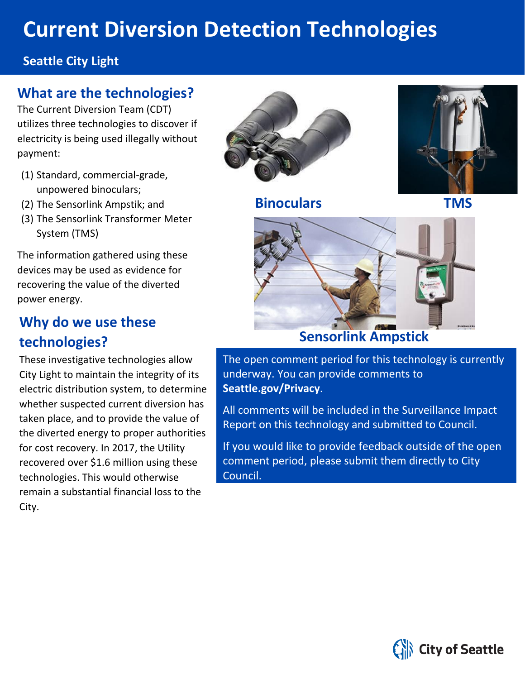# **Current Diversion Detection Technologies**

#### **Seattle City Light**

### **What are the technologies?**

The Current Diversion Team (CDT) utilizes three technologies to discover if electricity is being used illegally without payment:

- (1) Standard, commercial-grade, unpowered binoculars;
- (2) The Sensorlink Ampstik; and
- (3) The Sensorlink Transformer Meter System (TMS)

The information gathered using these devices may be used as evidence for recovering the value of the diverted power energy.

## **Why do we use these technologies?**

These investigative technologies allow City Light to maintain the integrity of its electric distribution system, to determine whether suspected current diversion has taken place, and to provide the value of the diverted energy to proper authorities for cost recovery. In 2017, the Utility recovered over \$1.6 million using these technologies. This would otherwise remain a substantial financial loss to the City.



**Binoculars TMS**





## **Sensorlink Ampstick**

The open comment period for this technology is currently underway. You can provide comments to **Seattle.gov/Privacy**.

All comments will be included in the Surveillance Impact Report on this technology and submitted to Council.

If you would like to provide feedback outside of the open comment period, please submit them directly to City Council.